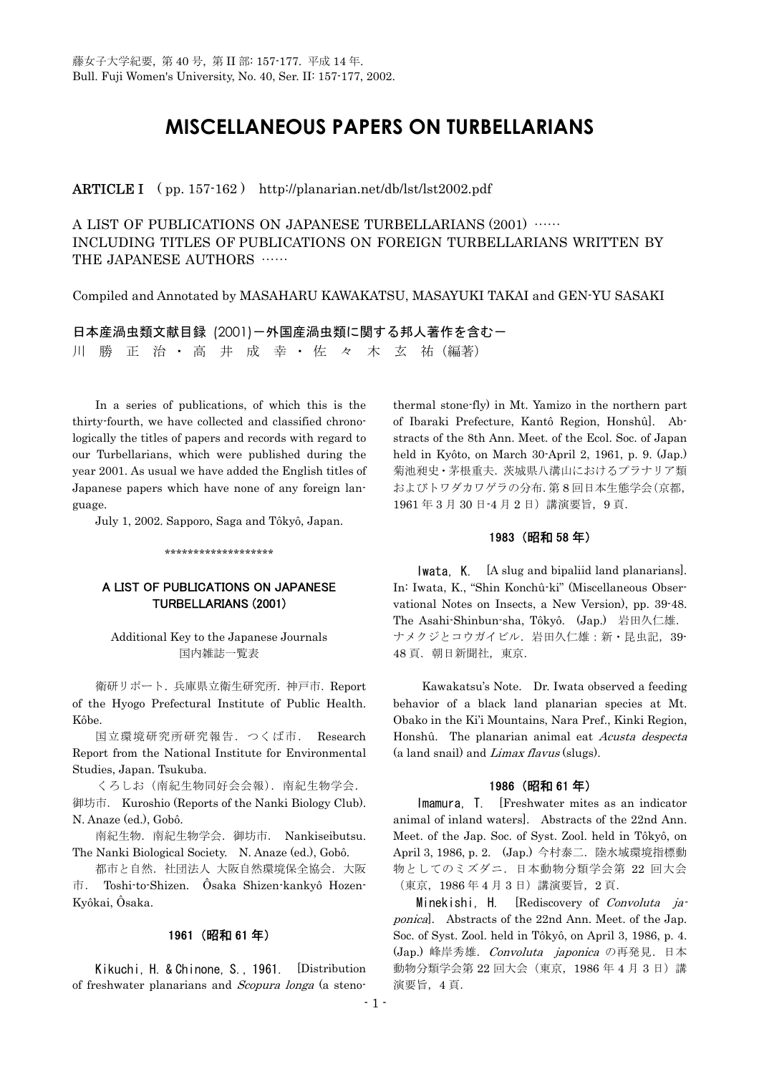# **MISCELLANEOUS PAPERS ON TURBELLARIANS**

ARTICLE I ( pp. 157-162 ) http://planarian.net/db/lst/lst2002.pdf

A LIST OF PUBLICATIONS ON JAPANESE TURBELLARIANS (2001) …… INCLUDING TITLES OF PUBLICATIONS ON FOREIGN TURBELLARIANS WRITTEN BY THE JAPANESE AUTHORS ……

Compiled and Annotated by MASAHARU KAWAKATSU, MASAYUKI TAKAI and GEN-YU SASAKI

日本産渦虫類文献目録 (2001)ー外国産渦虫類に関する邦人著作を含むー 川 勝 正 治 · 高 井 成 幸 · 佐 々 木 玄 祐 (編著)

In a series of publications, of which this is the thirty-fourth, we have collected and classified chronologically the titles of papers and records with regard to our Turbellarians, which were published during the year 2001. As usual we have added the English titles of Japanese papers which have none of any foreign language.

July 1, 2002. Sapporo, Saga and Tôkyô, Japan.

\*\*\*\*\*\*\*\*\*\*\*\*\*\*\*\*\*\*\*

# A LIST OF PUBLICATIONS ON JAPANESE TURBELLARIANS (2001)

Additional Key to the Japanese Journals 国内雑誌一覧表

 衛研リポート.兵庫県立衛生研究所.神戸市.Report of the Hyogo Prefectural Institute of Public Health. Kôbe.

 国立環境研究所研究報告.つくば市. Research Report from the National Institute for Environmental Studies, Japan. Tsukuba.

 くろしお(南紀生物同好会会報).南紀生物学会. 御坊市. Kuroshio (Reports of the Nanki Biology Club). N. Anaze (ed.), Gobô.

 南紀生物.南紀生物学会.御坊市. Nankiseibutsu. The Nanki Biological Society. N. Anaze (ed.), Gobô.

 都市と自然.社団法人 大阪自然環境保全協会.大阪 市. Toshi-to-Shizen. Ôsaka Shizen-kankyô Hozen-Kyôkai, Ôsaka.

### 1961 (昭和 61 年)

 Kikuchi, H. & Chinone, S., 1961. [Distribution of freshwater planarians and Scopura longa (a steno-

thermal stone-fly) in Mt. Yamizo in the northern part of Ibaraki Prefecture, Kantô Region, Honshû]. Abstracts of the 8th Ann. Meet. of the Ecol. Soc. of Japan held in Kyôto, on March 30-April 2, 1961, p. 9. (Jap.) 菊池昶史・茅根重夫.茨城県八溝山におけるプラナリア類 およびトワダカワゲラの分布.第 8 回日本生態学会(京都, 1961 年 3 月 30 日-4 月 2 日)講演要旨,9 頁.

# 1983 (昭和 58 年)

 Iwata, K. [A slug and bipaliid land planarians]. In: Iwata, K., "Shin Konchû-ki" (Miscellaneous Observational Notes on Insects, a New Version), pp. 39-48. The Asahi-Shinbun-sha, Tôkyô. (Jap.) 岩田久仁雄. ナメクジとコウガイビル. 岩田久仁雄:新·昆虫記, 39-48 頁. 朝日新聞社, 東京.

 Kawakatsu's Note. Dr. Iwata observed a feeding behavior of a black land planarian species at Mt. Obako in the Ki'i Mountains, Nara Pref., Kinki Region, Honshû. The planarian animal eat Acusta despecta (a land snail) and Limax flavus (slugs).

## 1986 (昭和 61 年)

 Imamura, T. [Freshwater mites as an indicator animal of inland waters]. Abstracts of the 22nd Ann. Meet. of the Jap. Soc. of Syst. Zool. held in Tôkyô, on April 3, 1986, p. 2. (Jap.) 今村泰二. 陸水域環境指標動 物としてのミズダニ.日本動物分類学会第 22 回大会 (東京,1986 年 4 月 3 日)講演要旨,2 頁.

Minekishi, H. [Rediscovery of *Convoluta ja*ponica]. Abstracts of the 22nd Ann. Meet. of the Jap. Soc. of Syst. Zool. held in Tôkyô, on April 3, 1986, p. 4. (Jap.) 峰岸秀雄. Convoluta japonica の再発見. 日本 動物分類学会第 22 回大会(東京, 1986年 4月 3日)講 演要旨,4 頁.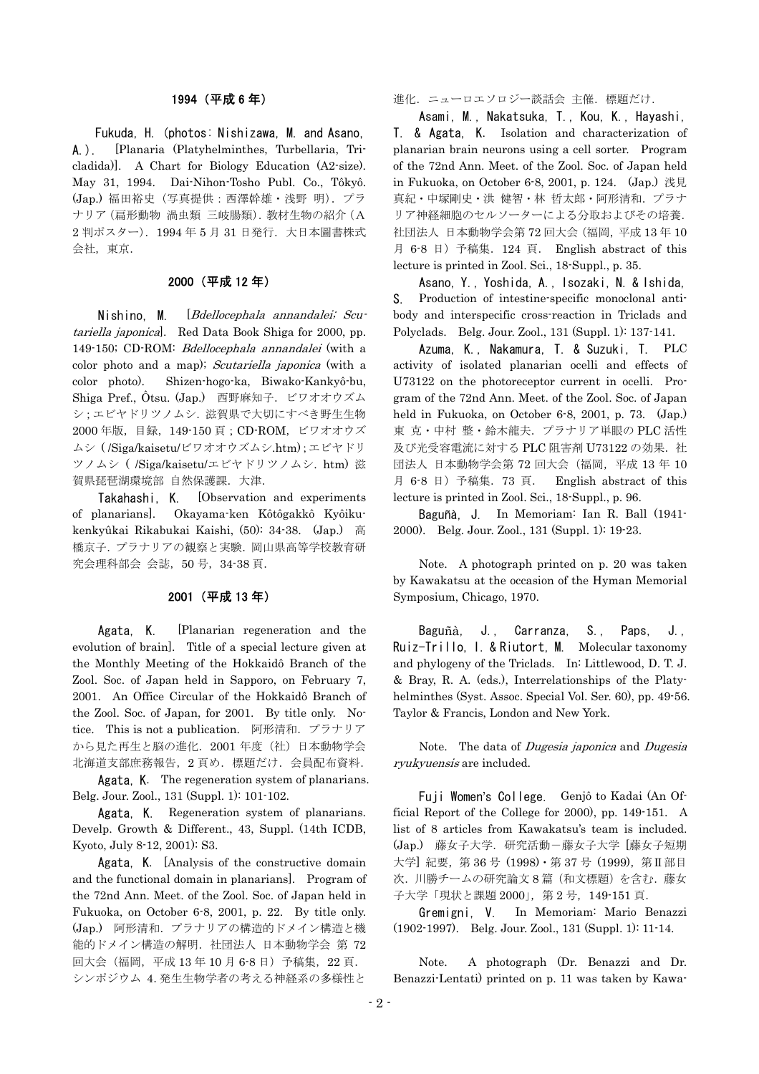### 1994 (平成 6 年)

 Fukuda, H. (photos: Nishizawa, M. and Asano, A.). [Planaria (Platyhelminthes, Turbellaria, Tricladida)]. A Chart for Biology Education (A2-size). May 31, 1994. Dai-Nihon-Tosho Publ. Co., Tôkyô. (Jap.) 福田裕史(写真提供:西澤幹雄・浅野 明).プラ ナリア(扁形動物 渦虫類 三岐腸類).教材生物の紹介(A 2 判ポスター). 1994年5月 31 日発行. 大日本圖書株式 会社, 東京.

# 2000 (平成 12 年)

Nishino, M. *[Bdellocephala annandalei; Scu*– tariella japonica]. Red Data Book Shiga for 2000, pp. 149-150; CD-ROM: Bdellocephala annandalei (with a color photo and a map); Scutariella japonica (with a color photo). Shizen-hogo-ka, Biwako-Kankyô-bu, Shiga Pref., Ôtsu. (Jap.) 西野麻知子.ビワオオウズム シ;エビヤドリツノムシ.滋賀県で大切にすべき野生生物 2000 年版,目録,149-150 頁;CD-ROM,ビワオオウズ ムシ ( /Siga/kaisetu/ビワオオウズムシ.htm);エビヤドリ ツノムシ ( /Siga/kaisetu/エビヤドリツノムシ. htm) 滋 賀県琵琶湖環境部 自然保護課. 大津.

Takahashi, K. [Observation and experiments of planarians]. Okayama-ken Kôtôgakkô Kyôikukenkyûkai Rikabukai Kaishi, (50): 34-38. (Jap.) 高 橋京子.プラナリアの観察と実験.岡山県高等学校教育研 究会理科部会 会誌,50 号,34-38 頁.

## 2001 (平成 13 年)

Agata, K. [Planarian regeneration and the evolution of brain]. Title of a special lecture given at the Monthly Meeting of the Hokkaidô Branch of the Zool. Soc. of Japan held in Sapporo, on February 7, 2001. An Office Circular of the Hokkaidô Branch of the Zool. Soc. of Japan, for 2001. By title only. Notice. This is not a publication. 阿形清和.プラナリア から見た再生と脳の進化.2001 年度(社)日本動物学会 北海道支部庶務報告,2 頁め.標題だけ.会員配布資料.

Agata, K. The regeneration system of planarians. Belg. Jour. Zool., 131 (Suppl. 1): 101-102.

Agata, K. Regeneration system of planarians. Develp. Growth & Different., 43, Suppl. (14th ICDB, Kyoto, July 8-12, 2001): S3.

Agata, K. [Analysis of the constructive domain and the functional domain in planarians]. Program of the 72nd Ann. Meet. of the Zool. Soc. of Japan held in Fukuoka, on October 6-8, 2001, p. 22. By title only. (Jap.) 阿形清和.プラナリアの構造的ドメイン構造と機 能的ドメイン構造の解明.社団法人 日本動物学会 第 72 回大会(福岡,平成13年10月68日)予稿集, 22頁. シンポジウム 4.発生生物学者の考える神経系の多様性と

進化. ニューロエソロジー談話会 主催. 標題だけ.

Asami, M., Nakatsuka, T., Kou, K., Hayashi, T. & Agata, K. Isolation and characterization of planarian brain neurons using a cell sorter. Program of the 72nd Ann. Meet. of the Zool. Soc. of Japan held in Fukuoka, on October 6-8, 2001, p. 124. (Jap.) 浅見 真紀・中塚剛史・洪 健智・林 哲太郎・阿形清和.プラナ リア神経細胞のセルソーターによる分取およびその培養. 社団法人 日本動物学会第 72 回大会(福岡,平成 13 年 10 月 6-8 日)予稿集.124 頁. English abstract of this lecture is printed in Zool. Sci., 18-Suppl., p. 35.

Asano, Y., Yoshida, A., Isozaki, N. & Ishida, S. Production of intestine-specific monoclonal antibody and interspecific cross-reaction in Triclads and Polyclads. Belg. Jour. Zool., 131 (Suppl. 1): 137-141.

Azuma, K., Nakamura, T. & Suzuki, T. PLC activity of isolated planarian ocelli and effects of U73122 on the photoreceptor current in ocelli. Program of the 72nd Ann. Meet. of the Zool. Soc. of Japan held in Fukuoka, on October 6-8, 2001, p. 73. (Jap.) 東 克・中村 整・鈴木龍夫.プラナリア単眼の PLC 活性 及び光受容電流に対する PLC 阻害剤 U73122 の効果. 社 団法人 日本動物学会第 72 回大会(福岡,平成 13 年 10 月 6-8 日)予稿集.73 頁. English abstract of this lecture is printed in Zool. Sci., 18-Suppl., p. 96.

Baguñà, J. In Memoriam: Ian R. Ball (1941- 2000). Belg. Jour. Zool., 131 (Suppl. 1): 19-23.

Note. A photograph printed on p. 20 was taken by Kawakatsu at the occasion of the Hyman Memorial Symposium, Chicago, 1970.

Baguñà, J., Carranza, S., Paps, J., Ruiz-Trillo, I. & Riutort, M. Molecular taxonomy and phylogeny of the Triclads. In: Littlewood, D. T. J. & Bray, R. A. (eds.), Interrelationships of the Platyhelminthes (Syst. Assoc. Special Vol. Ser. 60), pp. 49-56. Taylor & Francis, London and New York.

Note. The data of *Dugesia japonica* and *Dugesia* ryukyuensis are included.

Fuji Women's College. Genjô to Kadai (An Official Report of the College for 2000), pp. 149-151. A list of 8 articles from Kawakatsu's team is included. (Jap.) 藤女子大学.研究活動-藤女子大学 [藤女子短期 大学 紀要, 第 36 号 (1998) · 第 37 号 (1999), 第Ⅱ部目 次. 川勝チームの研究論文8篇 (和文標題)を含む. 藤女 子大学「現状と課題 2000」, 第 2 号, 149-151 頁.

Gremigni, V. In Memoriam: Mario Benazzi (1902-1997). Belg. Jour. Zool., 131 (Suppl. 1): 11-14.

Note. A photograph (Dr. Benazzi and Dr. Benazzi-Lentati) printed on p. 11 was taken by Kawa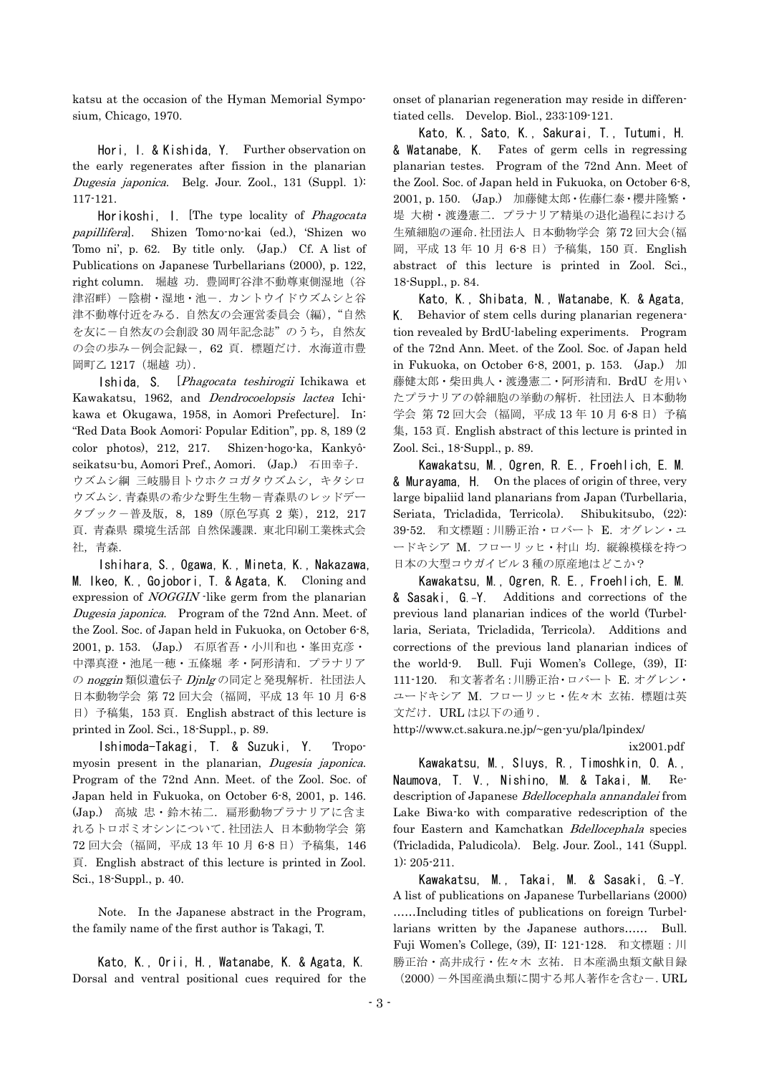katsu at the occasion of the Hyman Memorial Symposium, Chicago, 1970.

Hori, I. & Kishida, Y. Further observation on the early regenerates after fission in the planarian Dugesia japonica. Belg. Jour. Zool., 131 (Suppl. 1): 117-121.

Horikoshi, I. [The type locality of *Phagocata* papillifera]. Shizen Tomo-no-kai (ed.), 'Shizen wo Tomo ni', p. 62. By title only. (Jap.) Cf. A list of Publications on Japanese Turbellarians (2000), p. 122, right column. 堀越 功.豊岡町谷津不動尊東側湿地(谷 津沼畔)-陰樹・湿地・池ー. カントウイドウズムシと谷 津不動尊付近をみる.自然友の会運営委員会(編),"自然 を友に-自然友の会創設 30 周年記念誌"のうち,自然友 の会の歩み一例会記録ー, 62 頁. 標題だけ. 水海道市豊 岡町乙 1217(堀越 功).

Ishida, S. [Phagocata teshirogii Ichikawa et Kawakatsu, 1962, and Dendrocoelopsis lactea Ichikawa et Okugawa, 1958, in Aomori Prefecture]. In: "Red Data Book Aomori: Popular Edition", pp. 8, 189 (2 color photos), 212, 217. Shizen-hogo-ka, Kankyôseikatsu-bu, Aomori Pref., Aomori. (Jap.) 石田幸子. ウズムシ綱 三岐腸目トウホクコガタウズムシ,キタシロ ウズムシ.青森県の希少な野生生物-青森県のレッドデー タブックー普及版, 8, 189 (原色写真 2 葉), 212, 217 頁.青森県 環境生活部 自然保護課.東北印刷工業株式会 社,青森.

Ishihara, S., Ogawa, K., Mineta, K., Nakazawa, M. Ikeo, K., Gojobori, T. & Agata, K. Cloning and expression of *NOGGIN* -like germ from the planarian Dugesia japonica. Program of the 72nd Ann. Meet. of the Zool. Soc. of Japan held in Fukuoka, on October 6-8, 2001, p. 153. (Jap.) 石原省吾・小川和也・峯田克彦・ 中澤真澄・池尾一穂・五條堀 孝・阿形清和. プラナリア の noggin 類似遺伝子 Dinlg の同定と発現解析. 社団法人 日本動物学会 第 72 回大会(福岡,平成 13 年 10 月 6-8 日)予稿集,153 頁.English abstract of this lecture is printed in Zool. Sci., 18-Suppl., p. 89.

Ishimoda-Takagi, T. & Suzuki, Y. Tropomyosin present in the planarian, Dugesia japonica. Program of the 72nd Ann. Meet. of the Zool. Soc. of Japan held in Fukuoka, on October 6-8, 2001, p. 146. (Jap.) 高城 忠・鈴木祐二.扁形動物プラナリアに含ま れるトロポミオシンについて.社団法人 日本動物学会 第 72 回大会(福岡,平成 13 年 10 月 6-8 日)予稿集,146 頁.English abstract of this lecture is printed in Zool. Sci., 18-Suppl., p. 40.

Note. In the Japanese abstract in the Program, the family name of the first author is Takagi, T.

Kato, K., Orii, H., Watanabe, K. & Agata, K. Dorsal and ventral positional cues required for the onset of planarian regeneration may reside in differentiated cells. Develop. Biol., 233:109-121.

Kato, K., Sato, K., Sakurai, T., Tutumi, H. & Watanabe, K. Fates of germ cells in regressing planarian testes. Program of the 72nd Ann. Meet of the Zool. Soc. of Japan held in Fukuoka, on October 6-8, 2001, p. 150. (Jap.) 加藤健太郎・佐藤仁泰・櫻井隆繁・ 堤 大樹・渡邊憲二.プラナリア精巣の退化過程における 生殖細胞の運命.社団法人 日本動物学会 第 72 回大会(福 岡,平成 13 年 10 月 6-8 日)予稿集,150 頁.English abstract of this lecture is printed in Zool. Sci., 18-Suppl., p. 84.

Kato, K., Shibata, N., Watanabe, K. & Agata, K. Behavior of stem cells during planarian regeneration revealed by BrdU-labeling experiments. Program of the 72nd Ann. Meet. of the Zool. Soc. of Japan held in Fukuoka, on October 6-8, 2001, p. 153. (Jap.) 加 藤健太郎・柴田典人・渡邊憲二・阿形清和.BrdU を用い たプラナリアの幹細胞の挙動の解析.社団法人 日本動物 学会 第 72 回大会 (福岡, 平成 13 年 10 月 6-8 日) 予稿 集,153 頁.English abstract of this lecture is printed in Zool. Sci., 18-Suppl., p. 89.

Kawakatsu, M., Ogren, R. E., Froehlich, E. M. & Murayama, H. On the places of origin of three, very large bipaliid land planarians from Japan (Turbellaria, Seriata, Tricladida, Terricola). Shibukitsubo, (22): 39-52. 和文標題:川勝正治・ロバート E.オグレン・ユ ードキシア M. フローリッヒ・村山 均. 縦線模様を持つ 日本の大型コウガイビル 3 種の原産地はどこか?

Kawakatsu, M., Ogren, R. E., Froehlich, E. M. & Sasaki, G.-Y. Additions and corrections of the previous land planarian indices of the world (Turbellaria, Seriata, Tricladida, Terricola). Additions and corrections of the previous land planarian indices of the world-9. Bull. Fuji Women's College, (39), II: 111-120. 和文著者名:川勝正治・ロバート E.オグレン・ ユードキシア M.フローリッヒ・佐々木 玄祐.標題は英 文だけ. URL は以下の通り.

http://www.ct.sakura.ne.jp/~gen-yu/pla/lpindex/

ix2001.pdf

Kawakatsu, M., Sluys, R., Timoshkin, O. A., Naumova, T. V., Nishino, M. & Takai, M. Redescription of Japanese Bdellocephala annandalei from Lake Biwa-ko with comparative redescription of the four Eastern and Kamchatkan Bdellocephala species (Tricladida, Paludicola). Belg. Jour. Zool., 141 (Suppl. 1): 205-211.

Kawakatsu, M., Takai, M. & Sasaki, G.-Y. A list of publications on Japanese Turbellarians (2000) ……Including titles of publications on foreign Turbellarians written by the Japanese authors…… Bull. Fuji Women's College, (39), II: 121-128. 和文標題:川 勝正治・高井成行・佐々木 玄祐.日本産渦虫類文献目録 (2000)-外国産渦虫類に関する邦人著作を含むー. URL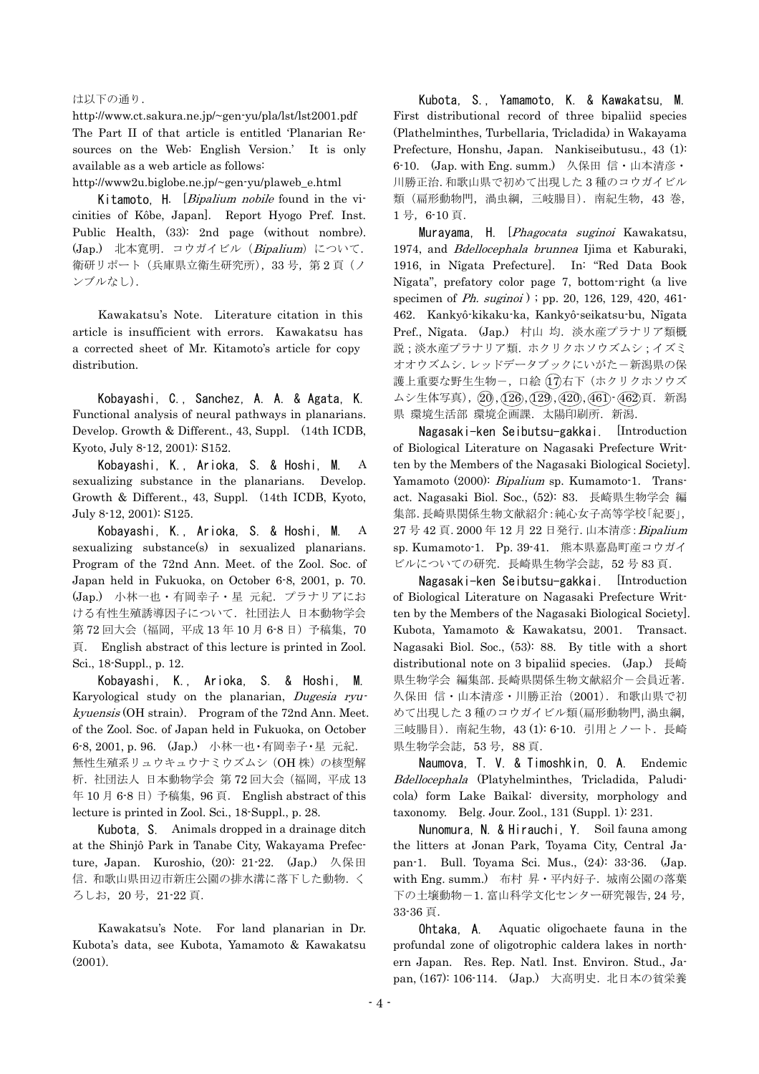#### は以下の通り.

http://www.ct.sakura.ne.jp/~gen-yu/pla/lst/lst2001.pdf The Part II of that article is entitled 'Planarian Resources on the Web: English Version.' It is only available as a web article as follows:

http://www2u.biglobe.ne.jp/~gen-yu/plaweb\_e.html

Kitamoto. H. [*Bipalium nobile* found in the vicinities of Kôbe, Japan]. Report Hyogo Pref. Inst. Public Health, (33): 2nd page (without nombre). (Jap.) 北本寛明.コウガイビル(Bipalium)について. 衛研リポート(兵庫県立衛生研究所), 33号, 第2頁(ノ ンブルなし).

Kawakatsu's Note. Literature citation in this article is insufficient with errors. Kawakatsu has a corrected sheet of Mr. Kitamoto's article for copy distribution.

Kobayashi, C., Sanchez, A. A. & Agata, K. Functional analysis of neural pathways in planarians. Develop. Growth & Different., 43, Suppl. (14th ICDB, Kyoto, July 8-12, 2001): S152.

Kobayashi, K., Arioka, S. & Hoshi, M. A sexualizing substance in the planarians. Develop. Growth & Different., 43, Suppl. (14th ICDB, Kyoto, July 8-12, 2001): S125.

Kobayashi, K., Arioka, S. & Hoshi, M. A sexualizing substance(s) in sexualized planarians. Program of the 72nd Ann. Meet. of the Zool. Soc. of Japan held in Fukuoka, on October 6-8, 2001, p. 70. (Jap.) 小林一也・有岡幸子・星 元紀.プラナリアにお ける有性生殖誘導因子について.社団法人 日本動物学会 第 72 回大会 (福岡, 平成 13年 10 月 6-8 日) 予稿集, 70 頁. English abstract of this lecture is printed in Zool. Sci., 18-Suppl., p. 12.

Kobayashi, K., Arioka, S. & Hoshi, M. Karyological study on the planarian, Dugesia ryukyuensis (OH strain). Program of the 72nd Ann. Meet. of the Zool. Soc. of Japan held in Fukuoka, on October 6-8, 2001, p. 96. (Jap.) 小林一也・有岡幸子・星 元紀. 無性生殖系リュウキュウナミウズムシ (OH 株)の核型解 析.社団法人 日本動物学会 第 72 回大会(福岡,平成 13 年 10 月 6-8 日) 予稿集, 96 頁. English abstract of this lecture is printed in Zool. Sci., 18-Suppl., p. 28.

Kubota, S. Animals dropped in a drainage ditch at the Shinjô Park in Tanabe City, Wakayama Prefecture, Japan. Kuroshio, (20): 21-22. (Jap.) 久保田 信. 和歌山県田辺市新庄公園の排水溝に落下した動物. く ろしお,20 号,21-22 頁.

Kawakatsu's Note. For land planarian in Dr. Kubota's data, see Kubota, Yamamoto & Kawakatsu (2001).

Kubota, S., Yamamoto, K. & Kawakatsu, M. First distributional record of three bipaliid species (Plathelminthes, Turbellaria, Tricladida) in Wakayama Prefecture, Honshu, Japan. Nankiseibutusu., 43 (1): 6-10. (Jap. with Eng. summ.) 久保田 信・山本清彦・ 川勝正治.和歌山県で初めて出現した3種のコウガイビル 類(扁形動物門,渦虫綱,三岐腸目). 南紀生物, 43 巻, 1 号,6-10 頁.

Murayama, H. [Phagocata suginoi Kawakatsu, 1974, and Bdellocephala brunnea Ijima et Kaburaki, 1916, in Nîgata Prefecture]. In: "Red Data Book Nîgata", prefatory color page 7, bottom-right (a live specimen of *Ph. suginoi* ) ; pp. 20, 126, 129, 420, 461-462. Kankyô-kikaku-ka, Kankyô-seikatsu-bu, Nîgata Pref., Nîgata. (Jap.) 村山 均.淡水産プラナリア類概 説;淡水産プラナリア類. ホクリクホソウズムシ;イズミ オオウズムシ.レッドデータブックにいがた一新潟県の保 護上重要な野生生物ー,口絵(7)右下(ホクリクホソウズ ムシ生体写真), 20, 126, 129, 420, 461 - 462頁. 新潟 県 環境生活部 環境企画課. 太陽印刷所. 新潟.

Nagasaki-ken Seibutsu-gakkai. [Introduction of Biological Literature on Nagasaki Prefecture Written by the Members of the Nagasaki Biological Society]. Yamamoto (2000): Bipalium sp. Kumamoto-1. Transact. Nagasaki Biol. Soc., (52): 83. 長崎県生物学会 編 集部.長崎県関係生物文献紹介:純心女子高等学校「紀要」, 27号 42 頁. 2000 年 12 月 22 日発行. 山本清彦: Bipalium sp. Kumamoto-1. Pp. 39-41. 熊本県嘉島町産コウガイ ビルについての研究. 長崎県生物学会誌, 52号 83頁.

Nagasaki-ken Seibutsu-gakkai. [Introduction of Biological Literature on Nagasaki Prefecture Written by the Members of the Nagasaki Biological Society]. Kubota, Yamamoto & Kawakatsu, 2001. Transact. Nagasaki Biol. Soc., (53): 88. By title with a short distributional note on 3 bipaliid species. (Jap.) 長崎 県生物学会 編集部.長崎県関係生物文献紹介一会員近著. 久保田 信・山本清彦・川勝正治 (2001). 和歌山県で初 めて出現した 3 種のコウガイビル類(扁形動物門,渦虫綱, 三岐腸目).南紀生物,43 (1): 6-10.引用とノート.長崎 県生物学会誌,53 号,88 頁.

Naumova, T. V. & Timoshkin, O. A. Endemic Bdellocephala (Platyhelminthes, Tricladida, Paludicola) form Lake Baikal: diversity, morphology and taxonomy. Belg. Jour. Zool., 131 (Suppl. 1): 231.

Nunomura, N. & Hirauchi, Y. Soil fauna among the litters at Jonan Park, Toyama City, Central Japan-1. Bull. Toyama Sci. Mus., (24): 33-36. (Jap. with Eng. summ.) 布村 昇・平内好子.城南公園の落葉 下の土壌動物-1.富山科学文化センター研究報告,24 号, 33-36 頁.

Ohtaka, A. Aquatic oligochaete fauna in the profundal zone of oligotrophic caldera lakes in northern Japan. Res. Rep. Natl. Inst. Environ. Stud., Japan, (167): 106-114. (Jap.) 大高明史. 北日本の貧栄養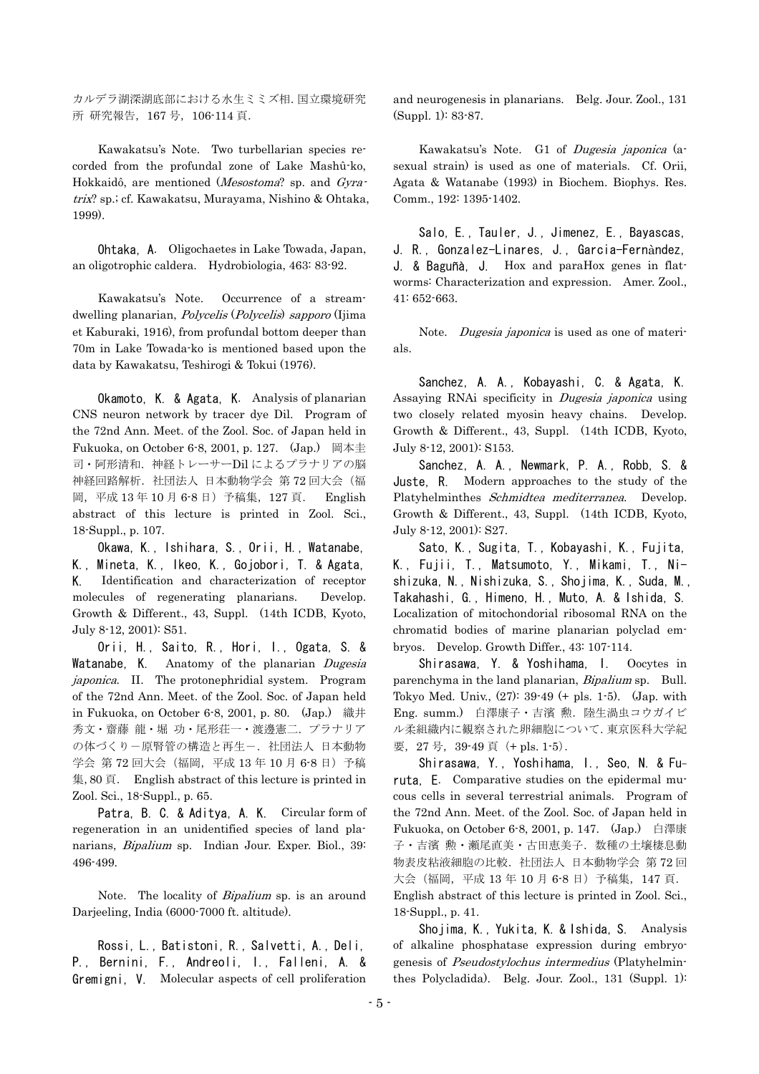カルデラ湖深湖底部における水生ミミズ相.国立環境研究 所 研究報告,167 号,106-114 頁.

Kawakatsu's Note. Two turbellarian species recorded from the profundal zone of Lake Mashû-ko, Hokkaidô, are mentioned (Mesostoma? sp. and Gyratrix? sp.; cf. Kawakatsu, Murayama, Nishino & Ohtaka, 1999).

Ohtaka, A. Oligochaetes in Lake Towada, Japan, an oligotrophic caldera. Hydrobiologia, 463: 83-92.

Kawakatsu's Note. Occurrence of a streamdwelling planarian, Polycelis (Polycelis) sapporo (Ijima et Kaburaki, 1916), from profundal bottom deeper than 70m in Lake Towada-ko is mentioned based upon the data by Kawakatsu, Teshirogi & Tokui (1976).

Okamoto, K. & Agata, K. Analysis of planarian CNS neuron network by tracer dye Dil. Program of the 72nd Ann. Meet. of the Zool. Soc. of Japan held in Fukuoka, on October 6-8, 2001, p. 127. (Jap.) 岡本圭 司·阿形清和. 神経トレーサーDil によるプラナリアの脳 神経回路解析. 社団法人 日本動物学会 第72回大会(福 岡,平成 13 年 10 月 6-8 日)予稿集,127 頁. English abstract of this lecture is printed in Zool. Sci., 18-Suppl., p. 107.

Okawa, K., Ishihara, S., Orii, H., Watanabe, K., Mineta, K., Ikeo, K., Gojobori, T. & Agata, K. Identification and characterization of receptor molecules of regenerating planarians. Develop. Growth & Different., 43, Suppl. (14th ICDB, Kyoto, July 8-12, 2001): S51.

Orii, H., Saito, R., Hori, I., Ogata, S. & Watanabe, K. Anatomy of the planarian Dugesia japonica. II. The protonephridial system. Program of the 72nd Ann. Meet. of the Zool. Soc. of Japan held in Fukuoka, on October 6-8, 2001, p. 80. (Jap.) 織井 秀文・齋藤 龍・堀 功・尾形荘一・渡邊憲二.プラナリア の体づくり一原腎管の構造と再生ー. 社団法人 日本動物 学会 第 72 回大会 (福岡, 平成 13 年 10 月 6-8 日) 予稿 集,80 頁. English abstract of this lecture is printed in Zool. Sci., 18-Suppl., p. 65.

Patra, B. C. & Aditya, A. K. Circular form of regeneration in an unidentified species of land planarians, Bipalium sp. Indian Jour. Exper. Biol., 39: 496-499.

Note. The locality of *Bipalium* sp. is an around Darjeeling, India (6000-7000 ft. altitude).

Rossi, L., Batistoni, R., Salvetti, A., Deli, P., Bernini, F., Andreoli, I., Falleni, A. & Gremigni, V. Molecular aspects of cell proliferation and neurogenesis in planarians. Belg. Jour. Zool., 131 (Suppl. 1): 83-87.

Kawakatsu's Note. G1 of Dugesia japonica (asexual strain) is used as one of materials. Cf. Orii, Agata & Watanabe (1993) in Biochem. Biophys. Res. Comm., 192: 1395-1402.

Salo, E., Tauler, J., Jimenez, E., Bayascas, J. R., Gonzalez-Linares, J., Garcia-Fernàndez, J. & Baguñà, J. Hox and paraHox genes in flatworms: Characterization and expression. Amer. Zool., 41: 652-663.

Note. *Dugesia japonica* is used as one of materials.

Sanchez, A. A., Kobayashi, C. & Agata, K. Assaying RNAi specificity in Dugesia japonica using two closely related myosin heavy chains. Develop. Growth & Different., 43, Suppl. (14th ICDB, Kyoto, July 8-12, 2001): S153.

Sanchez, A. A., Newmark, P. A., Robb, S. & Juste, R. Modern approaches to the study of the Platyhelminthes Schmidtea mediterranea. Develop. Growth & Different., 43, Suppl. (14th ICDB, Kyoto, July 8-12, 2001): S27.

Sato, K., Sugita, T., Kobayashi, K., Fujita, K., Fujii, T., Matsumoto, Y., Mikami, T., Nishizuka, N., Nishizuka, S., Shojima, K., Suda, M., Takahashi, G., Himeno, H., Muto, A. & Ishida, S. Localization of mitochondorial ribosomal RNA on the chromatid bodies of marine planarian polyclad embryos. Develop. Growth Differ., 43: 107-114.

Shirasawa, Y. & Yoshihama, I. Oocytes in parenchyma in the land planarian, *Bipalium* sp. Bull. Tokyo Med. Univ., (27): 39-49 (+ pls. 1-5). (Jap. with Eng. summ.) 白澤康子・吉濱 勲. 陸生渦虫コウガイビ ル柔組織内に観察された卵細胞について.東京医科大学紀 要, 27号, 39-49 頁 (+ pls. 1-5).

Shirasawa, Y., Yoshihama, I., Seo, N. & Furuta, E. Comparative studies on the epidermal mucous cells in several terrestrial animals. Program of the 72nd Ann. Meet. of the Zool. Soc. of Japan held in Fukuoka, on October 6-8, 2001, p. 147. (Jap.) 白澤康 子・吉濱 勲・瀬尾直美・古田恵美子. 数種の土壌棲息動 物表皮粘液細胞の比較. 社団法人 日本動物学会 第72回 大会(福岡,平成 13 年 10 月 6-8 日)予稿集,147 頁. English abstract of this lecture is printed in Zool. Sci., 18-Suppl., p. 41.

Shojima, K., Yukita, K. & Ishida, S. Analysis of alkaline phosphatase expression during embryogenesis of Pseudostylochus intermedius (Platyhelminthes Polycladida). Belg. Jour. Zool., 131 (Suppl. 1):